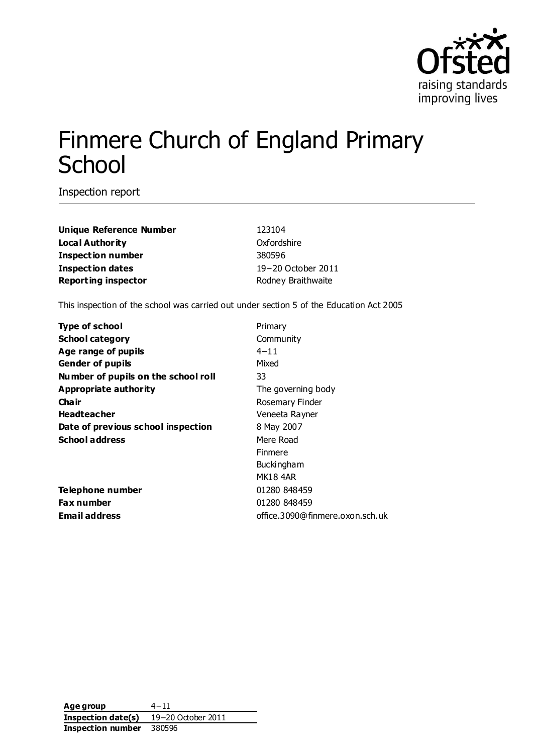

# Finmere Church of England Primary **School**

Inspection report

| 123104             |
|--------------------|
| Oxfordshire        |
| 380596             |
| 19-20 October 2011 |
| Rodney Braithwaite |
|                    |

This inspection of the school was carried out under section 5 of the Education Act 2005

| <b>Type of school</b>               | Primary                         |
|-------------------------------------|---------------------------------|
| <b>School category</b>              | Community                       |
| Age range of pupils                 | $4 - 11$                        |
| <b>Gender of pupils</b>             | Mixed                           |
| Number of pupils on the school roll | 33                              |
| Appropriate authority               | The governing body              |
| Cha ir                              | Rosemary Finder                 |
| <b>Headteacher</b>                  | Veneeta Rayner                  |
| Date of previous school inspection  | 8 May 2007                      |
| <b>School address</b>               | Mere Road                       |
|                                     | <b>Finmere</b>                  |
|                                     | <b>Buckingham</b>               |
|                                     | MK184AR                         |
| Telephone number                    | 01280 848459                    |
| Fax number                          | 01280 848459                    |
| <b>Email address</b>                | office.3090@finmere.oxon.sch.uk |
|                                     |                                 |

**Age group** 4−11 **Inspection date(s)** 19−20 October 2011 **Inspection number** 380596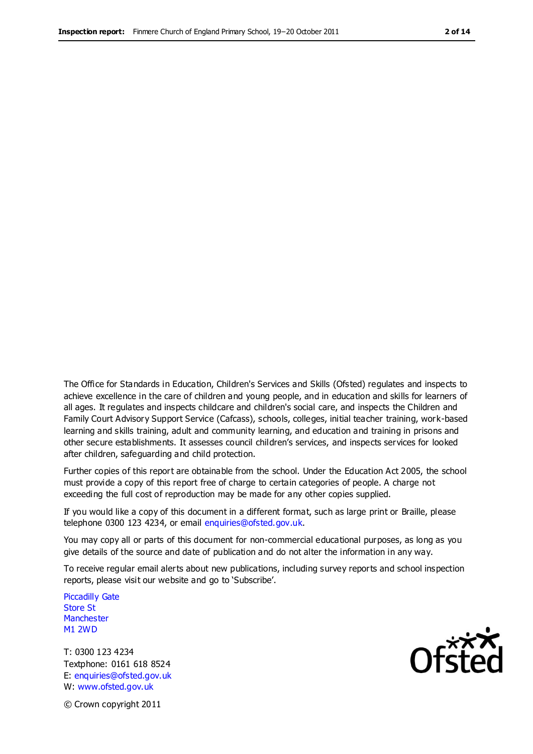The Office for Standards in Education, Children's Services and Skills (Ofsted) regulates and inspects to achieve excellence in the care of children and young people, and in education and skills for learners of all ages. It regulates and inspects childcare and children's social care, and inspects the Children and Family Court Advisory Support Service (Cafcass), schools, colleges, initial teacher training, work-based learning and skills training, adult and community learning, and education and training in prisons and other secure establishments. It assesses council children's services, and inspects services for looked after children, safeguarding and child protection.

Further copies of this report are obtainable from the school. Under the Education Act 2005, the school must provide a copy of this report free of charge to certain categories of people. A charge not exceeding the full cost of reproduction may be made for any other copies supplied.

If you would like a copy of this document in a different format, such as large print or Braille, please telephone 0300 123 4234, or email enquiries@ofsted.gov.uk.

You may copy all or parts of this document for non-commercial educational purposes, as long as you give details of the source and date of publication and do not alter the information in any way.

To receive regular email alerts about new publications, including survey reports and school inspection reports, please visit our website and go to 'Subscribe'.

Piccadilly Gate Store St **Manchester** M1 2WD

T: 0300 123 4234 Textphone: 0161 618 8524 E: enquiries@ofsted.gov.uk W: www.ofsted.gov.uk

**Ofsted** 

© Crown copyright 2011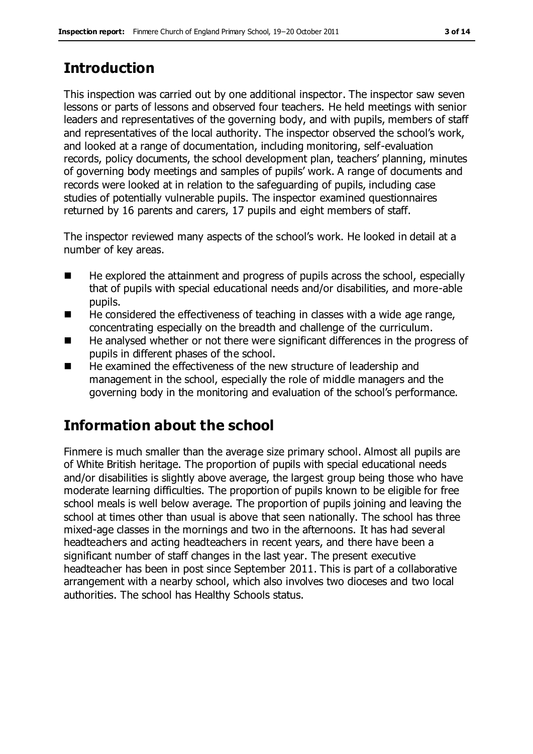## **Introduction**

This inspection was carried out by one additional inspector. The inspector saw seven lessons or parts of lessons and observed four teachers. He held meetings with senior leaders and representatives of the governing body, and with pupils, members of staff and representatives of the local authority. The inspector observed the school's work, and looked at a range of documentation, including monitoring, self-evaluation records, policy documents, the school development plan, teachers' planning, minutes of governing body meetings and samples of pupils' work. A range of documents and records were looked at in relation to the safeguarding of pupils, including case studies of potentially vulnerable pupils. The inspector examined questionnaires returned by 16 parents and carers, 17 pupils and eight members of staff.

The inspector reviewed many aspects of the school's work. He looked in detail at a number of key areas.

- $\blacksquare$  He explored the attainment and progress of pupils across the school, especially that of pupils with special educational needs and/or disabilities, and more-able pupils.
- He considered the effectiveness of teaching in classes with a wide age range, concentrating especially on the breadth and challenge of the curriculum.
- He analysed whether or not there were significant differences in the progress of pupils in different phases of the school.
- He examined the effectiveness of the new structure of leadership and management in the school, especially the role of middle managers and the governing body in the monitoring and evaluation of the school's performance.

## **Information about the school**

Finmere is much smaller than the average size primary school. Almost all pupils are of White British heritage. The proportion of pupils with special educational needs and/or disabilities is slightly above average, the largest group being those who have moderate learning difficulties. The proportion of pupils known to be eligible for free school meals is well below average. The proportion of pupils joining and leaving the school at times other than usual is above that seen nationally. The school has three mixed-age classes in the mornings and two in the afternoons. It has had several headteachers and acting headteachers in recent years, and there have been a significant number of staff changes in the last year. The present executive headteacher has been in post since September 2011. This is part of a collaborative arrangement with a nearby school, which also involves two dioceses and two local authorities. The school has Healthy Schools status.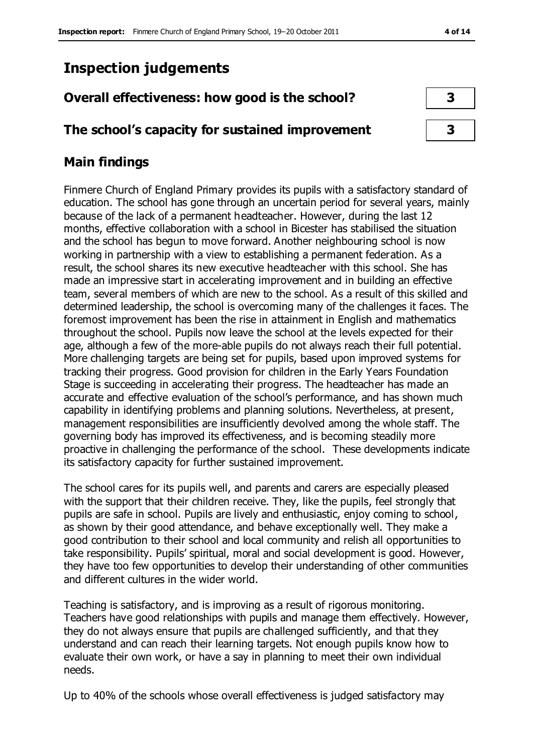## **Inspection judgements**

## **Overall effectiveness: how good is the school? 3**

## **The school's capacity for sustained improvement 3**

## **Main findings**

Finmere Church of England Primary provides its pupils with a satisfactory standard of education. The school has gone through an uncertain period for several years, mainly because of the lack of a permanent headteacher. However, during the last 12 months, effective collaboration with a school in Bicester has stabilised the situation and the school has begun to move forward. Another neighbouring school is now working in partnership with a view to establishing a permanent federation. As a result, the school shares its new executive headteacher with this school. She has made an impressive start in accelerating improvement and in building an effective team, several members of which are new to the school. As a result of this skilled and determined leadership, the school is overcoming many of the challenges it faces. The foremost improvement has been the rise in attainment in English and mathematics throughout the school. Pupils now leave the school at the levels expected for their age, although a few of the more-able pupils do not always reach their full potential. More challenging targets are being set for pupils, based upon improved systems for tracking their progress. Good provision for children in the Early Years Foundation Stage is succeeding in accelerating their progress. The headteacher has made an accurate and effective evaluation of the school's performance, and has shown much capability in identifying problems and planning solutions. Nevertheless, at present, management responsibilities are insufficiently devolved among the whole staff. The governing body has improved its effectiveness, and is becoming steadily more proactive in challenging the performance of the school. These developments indicate its satisfactory capacity for further sustained improvement.

The school cares for its pupils well, and parents and carers are especially pleased with the support that their children receive. They, like the pupils, feel strongly that pupils are safe in school. Pupils are lively and enthusiastic, enjoy coming to school, as shown by their good attendance, and behave exceptionally well. They make a good contribution to their school and local community and relish all opportunities to take responsibility. Pupils' spiritual, moral and social development is good. However, they have too few opportunities to develop their understanding of other communities and different cultures in the wider world.

Teaching is satisfactory, and is improving as a result of rigorous monitoring. Teachers have good relationships with pupils and manage them effectively. However, they do not always ensure that pupils are challenged sufficiently, and that they understand and can reach their learning targets. Not enough pupils know how to evaluate their own work, or have a say in planning to meet their own individual needs.

Up to 40% of the schools whose overall effectiveness is judged satisfactory may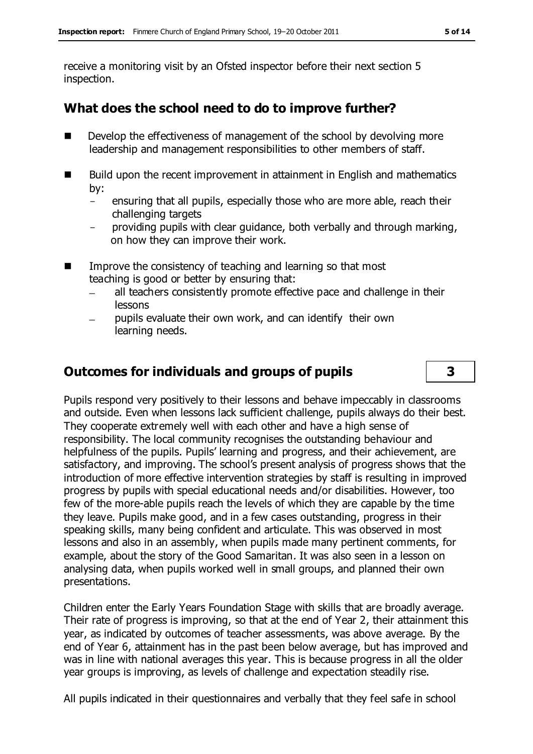receive a monitoring visit by an Ofsted inspector before their next section 5 inspection.

## **What does the school need to do to improve further?**

- Develop the effectiveness of management of the school by devolving more leadership and management responsibilities to other members of staff.
- Build upon the recent improvement in attainment in English and mathematics by:
	- ensuring that all pupils, especially those who are more able, reach their challenging targets
	- providing pupils with clear guidance, both verbally and through marking, on how they can improve their work.
- Improve the consistency of teaching and learning so that most teaching is good or better by ensuring that:
	- all teachers consistently promote effective pace and challenge in their lessons
	- pupils evaluate their own work, and can identify their own learning needs.

## **Outcomes for individuals and groups of pupils 3**

Pupils respond very positively to their lessons and behave impeccably in classrooms and outside. Even when lessons lack sufficient challenge, pupils always do their best. They cooperate extremely well with each other and have a high sense of responsibility. The local community recognises the outstanding behaviour and helpfulness of the pupils. Pupils' learning and progress, and their achievement, are satisfactory, and improving. The school's present analysis of progress shows that the introduction of more effective intervention strategies by staff is resulting in improved progress by pupils with special educational needs and/or disabilities. However, too few of the more-able pupils reach the levels of which they are capable by the time they leave. Pupils make good, and in a few cases outstanding, progress in their speaking skills, many being confident and articulate. This was observed in most lessons and also in an assembly, when pupils made many pertinent comments, for example, about the story of the Good Samaritan. It was also seen in a lesson on analysing data, when pupils worked well in small groups, and planned their own presentations.

Children enter the Early Years Foundation Stage with skills that are broadly average. Their rate of progress is improving, so that at the end of Year 2, their attainment this year, as indicated by outcomes of teacher assessments, was above average. By the end of Year 6, attainment has in the past been below average, but has improved and was in line with national averages this year. This is because progress in all the older year groups is improving, as levels of challenge and expectation steadily rise.

All pupils indicated in their questionnaires and verbally that they feel safe in school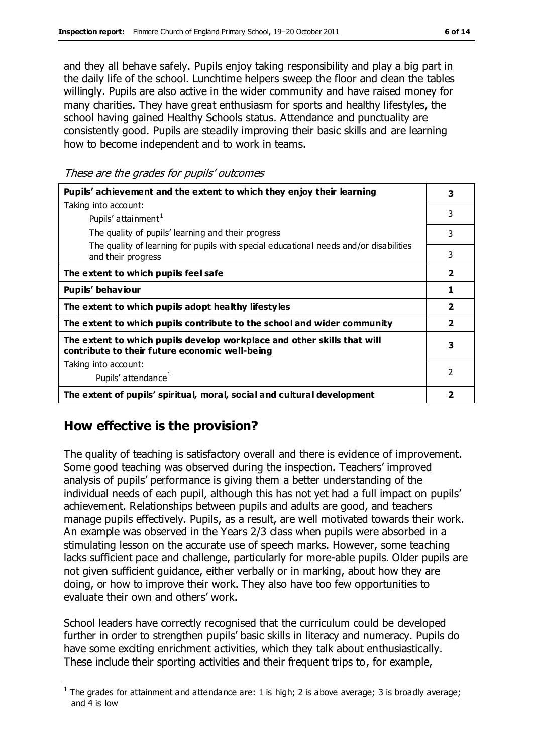and they all behave safely. Pupils enjoy taking responsibility and play a big part in the daily life of the school. Lunchtime helpers sweep the floor and clean the tables willingly. Pupils are also active in the wider community and have raised money for many charities. They have great enthusiasm for sports and healthy lifestyles, the school having gained Healthy Schools status. Attendance and punctuality are consistently good. Pupils are steadily improving their basic skills and are learning how to become independent and to work in teams.

These are the grades for pupils' outcomes

| Pupils' achievement and the extent to which they enjoy their learning                                                     |                         |  |
|---------------------------------------------------------------------------------------------------------------------------|-------------------------|--|
| Taking into account:                                                                                                      |                         |  |
| Pupils' attainment <sup>1</sup>                                                                                           | 3                       |  |
| The quality of pupils' learning and their progress                                                                        | 3                       |  |
| The quality of learning for pupils with special educational needs and/or disabilities<br>and their progress               | 3                       |  |
| The extent to which pupils feel safe                                                                                      | $\overline{\mathbf{2}}$ |  |
| Pupils' behaviour                                                                                                         | 1                       |  |
| The extent to which pupils adopt healthy lifestyles                                                                       | $\overline{\mathbf{2}}$ |  |
| The extent to which pupils contribute to the school and wider community                                                   | $\overline{\mathbf{2}}$ |  |
| The extent to which pupils develop workplace and other skills that will<br>contribute to their future economic well-being | 3                       |  |
| Taking into account:                                                                                                      |                         |  |
| Pupils' attendance <sup>1</sup>                                                                                           | 2                       |  |
| The extent of pupils' spiritual, moral, social and cultural development                                                   |                         |  |

## **How effective is the provision?**

The quality of teaching is satisfactory overall and there is evidence of improvement. Some good teaching was observed during the inspection. Teachers' improved analysis of pupils' performance is giving them a better understanding of the individual needs of each pupil, although this has not yet had a full impact on pupils' achievement. Relationships between pupils and adults are good, and teachers manage pupils effectively. Pupils, as a result, are well motivated towards their work. An example was observed in the Years 2/3 class when pupils were absorbed in a stimulating lesson on the accurate use of speech marks. However, some teaching lacks sufficient pace and challenge, particularly for more-able pupils. Older pupils are not given sufficient guidance, either verbally or in marking, about how they are doing, or how to improve their work. They also have too few opportunities to evaluate their own and others' work.

School leaders have correctly recognised that the curriculum could be developed further in order to strengthen pupils' basic skills in literacy and numeracy. Pupils do have some exciting enrichment activities, which they talk about enthusiastically. These include their sporting activities and their frequent trips to, for example,

 $\overline{a}$ <sup>1</sup> The grades for attainment and attendance are: 1 is high; 2 is above average; 3 is broadly average; and 4 is low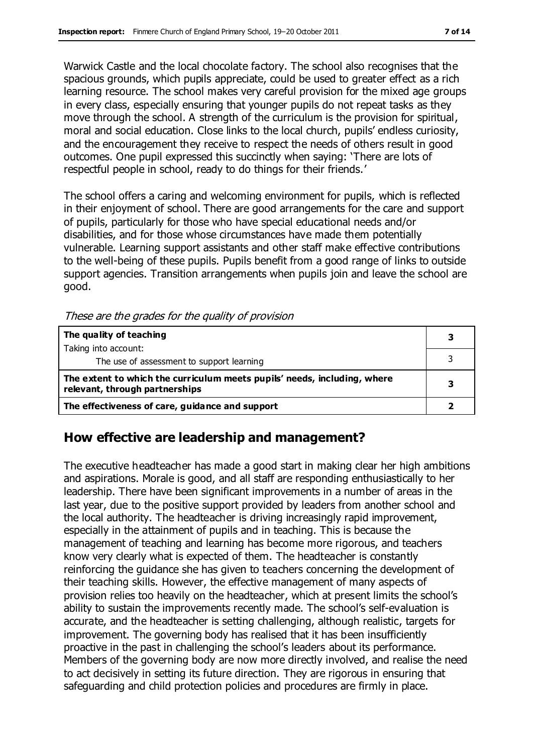Warwick Castle and the local chocolate factory. The school also recognises that the spacious grounds, which pupils appreciate, could be used to greater effect as a rich learning resource. The school makes very careful provision for the mixed age groups in every class, especially ensuring that younger pupils do not repeat tasks as they move through the school. A strength of the curriculum is the provision for spiritual, moral and social education. Close links to the local church, pupils' endless curiosity, and the encouragement they receive to respect the needs of others result in good outcomes. One pupil expressed this succinctly when saying: 'There are lots of respectful people in school, ready to do things for their friends.'

The school offers a caring and welcoming environment for pupils, which is reflected in their enjoyment of school. There are good arrangements for the care and support of pupils, particularly for those who have special educational needs and/or disabilities, and for those whose circumstances have made them potentially vulnerable. Learning support assistants and other staff make effective contributions to the well-being of these pupils. Pupils benefit from a good range of links to outside support agencies. Transition arrangements when pupils join and leave the school are good.

| The quality of teaching                                                                                    |  |
|------------------------------------------------------------------------------------------------------------|--|
| Taking into account:                                                                                       |  |
| The use of assessment to support learning                                                                  |  |
| The extent to which the curriculum meets pupils' needs, including, where<br>relevant, through partnerships |  |
| The effectiveness of care, guidance and support                                                            |  |

### **How effective are leadership and management?**

The executive headteacher has made a good start in making clear her high ambitions and aspirations. Morale is good, and all staff are responding enthusiastically to her leadership. There have been significant improvements in a number of areas in the last year, due to the positive support provided by leaders from another school and the local authority. The headteacher is driving increasingly rapid improvement, especially in the attainment of pupils and in teaching. This is because the management of teaching and learning has become more rigorous, and teachers know very clearly what is expected of them. The headteacher is constantly reinforcing the guidance she has given to teachers concerning the development of their teaching skills. However, the effective management of many aspects of provision relies too heavily on the headteacher, which at present limits the school's ability to sustain the improvements recently made. The school's self-evaluation is accurate, and the headteacher is setting challenging, although realistic, targets for improvement. The governing body has realised that it has been insufficiently proactive in the past in challenging the school's leaders about its performance. Members of the governing body are now more directly involved, and realise the need to act decisively in setting its future direction. They are rigorous in ensuring that safeguarding and child protection policies and procedures are firmly in place.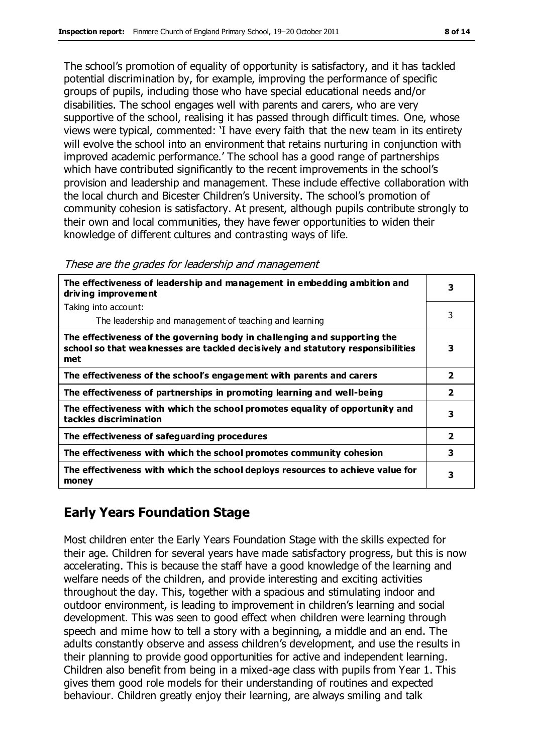The school's promotion of equality of opportunity is satisfactory, and it has tackled potential discrimination by, for example, improving the performance of specific groups of pupils, including those who have special educational needs and/or disabilities. The school engages well with parents and carers, who are very supportive of the school, realising it has passed through difficult times. One, whose views were typical, commented: 'I have every faith that the new team in its entirety will evolve the school into an environment that retains nurturing in conjunction with improved academic performance.' The school has a good range of partnerships which have contributed significantly to the recent improvements in the school's provision and leadership and management. These include effective collaboration with the local church and Bicester Children's University. The school's promotion of community cohesion is satisfactory. At present, although pupils contribute strongly to their own and local communities, they have fewer opportunities to widen their knowledge of different cultures and contrasting ways of life.

| The effectiveness of leadership and management in embedding ambition and<br>driving improvement                                                                     |                         |  |
|---------------------------------------------------------------------------------------------------------------------------------------------------------------------|-------------------------|--|
| Taking into account:                                                                                                                                                |                         |  |
| The leadership and management of teaching and learning                                                                                                              | 3                       |  |
| The effectiveness of the governing body in challenging and supporting the<br>school so that weaknesses are tackled decisively and statutory responsibilities<br>met | 3                       |  |
| The effectiveness of the school's engagement with parents and carers                                                                                                | $\overline{\mathbf{2}}$ |  |
| The effectiveness of partnerships in promoting learning and well-being                                                                                              | $\mathbf{2}$            |  |
| The effectiveness with which the school promotes equality of opportunity and<br>tackles discrimination                                                              | 3                       |  |
| The effectiveness of safeguarding procedures                                                                                                                        | $\overline{\mathbf{2}}$ |  |
| The effectiveness with which the school promotes community cohesion                                                                                                 | 3                       |  |
| The effectiveness with which the school deploys resources to achieve value for<br>money                                                                             | 3                       |  |

These are the grades for leadership and management

## **Early Years Foundation Stage**

Most children enter the Early Years Foundation Stage with the skills expected for their age. Children for several years have made satisfactory progress, but this is now accelerating. This is because the staff have a good knowledge of the learning and welfare needs of the children, and provide interesting and exciting activities throughout the day. This, together with a spacious and stimulating indoor and outdoor environment, is leading to improvement in children's learning and social development. This was seen to good effect when children were learning through speech and mime how to tell a story with a beginning, a middle and an end. The adults constantly observe and assess children's development, and use the results in their planning to provide good opportunities for active and independent learning. Children also benefit from being in a mixed-age class with pupils from Year 1. This gives them good role models for their understanding of routines and expected behaviour. Children greatly enjoy their learning, are always smiling and talk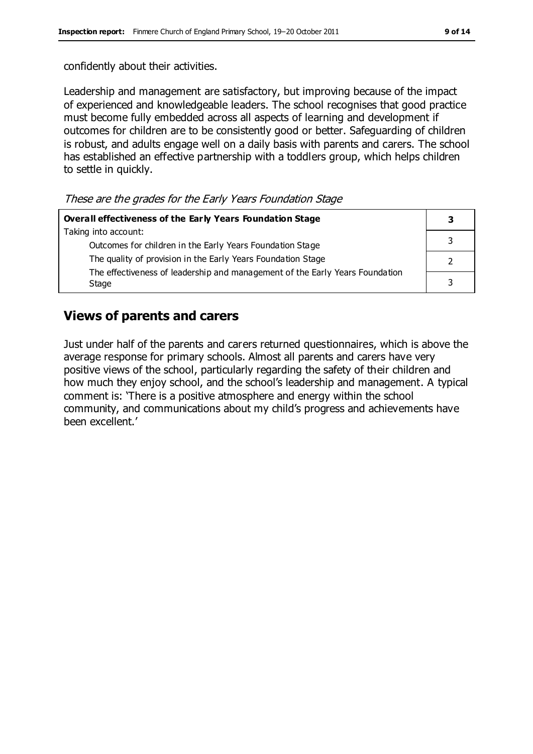confidently about their activities.

Leadership and management are satisfactory, but improving because of the impact of experienced and knowledgeable leaders. The school recognises that good practice must become fully embedded across all aspects of learning and development if outcomes for children are to be consistently good or better. Safeguarding of children is robust, and adults engage well on a daily basis with parents and carers. The school has established an effective partnership with a toddlers group, which helps children to settle in quickly.

These are the grades for the Early Years Foundation Stage

| Overall effectiveness of the Early Years Foundation Stage                    |  |  |
|------------------------------------------------------------------------------|--|--|
| Taking into account:                                                         |  |  |
| Outcomes for children in the Early Years Foundation Stage                    |  |  |
| The quality of provision in the Early Years Foundation Stage                 |  |  |
| The effectiveness of leadership and management of the Early Years Foundation |  |  |
| Stage                                                                        |  |  |

### **Views of parents and carers**

Just under half of the parents and carers returned questionnaires, which is above the average response for primary schools. Almost all parents and carers have very positive views of the school, particularly regarding the safety of their children and how much they enjoy school, and the school's leadership and management. A typical comment is: 'There is a positive atmosphere and energy within the school community, and communications about my child's progress and achievements have been excellent.'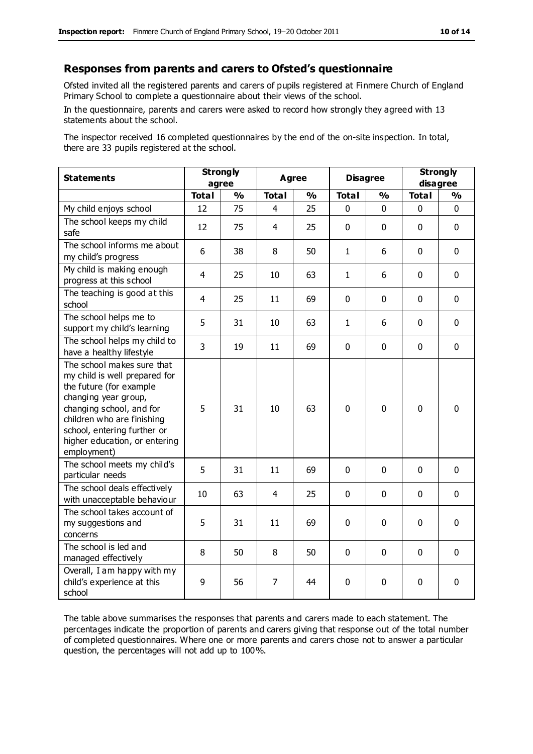#### **Responses from parents and carers to Ofsted's questionnaire**

Ofsted invited all the registered parents and carers of pupils registered at Finmere Church of England Primary School to complete a questionnaire about their views of the school.

In the questionnaire, parents and carers were asked to record how strongly they agreed with 13 statements about the school.

The inspector received 16 completed questionnaires by the end of the on-site inspection. In total, there are 33 pupils registered at the school.

| <b>Statements</b>                                                                                                                                                                                                                                       | <b>Strongly</b><br>agree |               | Agree          |               | <b>Disagree</b> |             | <b>Strongly</b><br>disagree |              |
|---------------------------------------------------------------------------------------------------------------------------------------------------------------------------------------------------------------------------------------------------------|--------------------------|---------------|----------------|---------------|-----------------|-------------|-----------------------------|--------------|
|                                                                                                                                                                                                                                                         | <b>Total</b>             | $\frac{1}{2}$ | <b>Total</b>   | $\frac{1}{2}$ | <b>Total</b>    | %           | <b>Total</b>                | %            |
| My child enjoys school                                                                                                                                                                                                                                  | 12                       | 75            | 4              | 25            | 0               | 0           | $\mathbf 0$                 | $\mathbf{0}$ |
| The school keeps my child<br>safe                                                                                                                                                                                                                       | 12                       | 75            | 4              | 25            | $\mathbf 0$     | $\mathbf 0$ | $\mathbf 0$                 | $\mathbf 0$  |
| The school informs me about<br>my child's progress                                                                                                                                                                                                      | 6                        | 38            | 8              | 50            | $\mathbf{1}$    | 6           | $\mathbf{0}$                | $\mathbf 0$  |
| My child is making enough<br>progress at this school                                                                                                                                                                                                    | $\overline{4}$           | 25            | 10             | 63            | $\mathbf{1}$    | 6           | $\mathbf 0$                 | $\mathbf 0$  |
| The teaching is good at this<br>school                                                                                                                                                                                                                  | 4                        | 25            | 11             | 69            | 0               | $\mathbf 0$ | $\mathbf 0$                 | $\mathbf 0$  |
| The school helps me to<br>support my child's learning                                                                                                                                                                                                   | 5                        | 31            | 10             | 63            | $\mathbf{1}$    | 6           | $\Omega$                    | $\mathbf 0$  |
| The school helps my child to<br>have a healthy lifestyle                                                                                                                                                                                                | $\overline{3}$           | 19            | 11             | 69            | 0               | $\mathbf 0$ | $\mathbf 0$                 | $\mathbf 0$  |
| The school makes sure that<br>my child is well prepared for<br>the future (for example<br>changing year group,<br>changing school, and for<br>children who are finishing<br>school, entering further or<br>higher education, or entering<br>employment) | 5                        | 31            | 10             | 63            | $\Omega$        | $\mathbf 0$ | $\mathbf{0}$                | $\mathbf 0$  |
| The school meets my child's<br>particular needs                                                                                                                                                                                                         | 5                        | 31            | 11             | 69            | $\mathbf 0$     | $\mathbf 0$ | $\mathbf 0$                 | $\mathbf 0$  |
| The school deals effectively<br>with unacceptable behaviour                                                                                                                                                                                             | 10                       | 63            | 4              | 25            | $\Omega$        | $\mathbf 0$ | $\mathbf{0}$                | $\mathbf 0$  |
| The school takes account of<br>my suggestions and<br>concerns                                                                                                                                                                                           | 5                        | 31            | 11             | 69            | 0               | $\mathbf 0$ | $\mathbf 0$                 | $\mathbf 0$  |
| The school is led and<br>managed effectively                                                                                                                                                                                                            | 8                        | 50            | 8              | 50            | 0               | $\mathbf 0$ | $\Omega$                    | $\mathbf 0$  |
| Overall, I am happy with my<br>child's experience at this<br>school                                                                                                                                                                                     | 9                        | 56            | $\overline{7}$ | 44            | 0               | $\mathbf 0$ | $\mathbf 0$                 | $\mathbf 0$  |

The table above summarises the responses that parents and carers made to each statement. The percentages indicate the proportion of parents and carers giving that response out of the total number of completed questionnaires. Where one or more parents and carers chose not to answer a particular question, the percentages will not add up to 100%.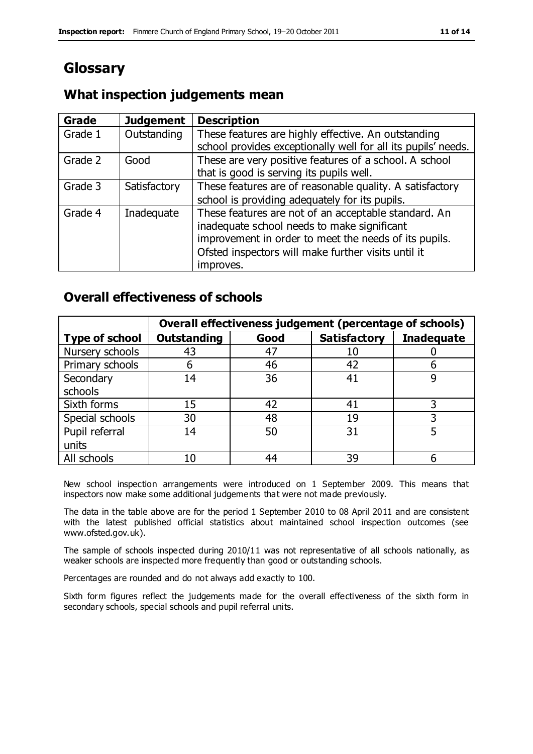## **Glossary**

## **What inspection judgements mean**

| Grade   | <b>Judgement</b> | <b>Description</b>                                            |
|---------|------------------|---------------------------------------------------------------|
| Grade 1 | Outstanding      | These features are highly effective. An outstanding           |
|         |                  | school provides exceptionally well for all its pupils' needs. |
| Grade 2 | Good             | These are very positive features of a school. A school        |
|         |                  | that is good is serving its pupils well.                      |
| Grade 3 | Satisfactory     | These features are of reasonable quality. A satisfactory      |
|         |                  | school is providing adequately for its pupils.                |
| Grade 4 | Inadequate       | These features are not of an acceptable standard. An          |
|         |                  | inadequate school needs to make significant                   |
|         |                  | improvement in order to meet the needs of its pupils.         |
|         |                  | Ofsted inspectors will make further visits until it           |
|         |                  | improves.                                                     |

### **Overall effectiveness of schools**

|                       | Overall effectiveness judgement (percentage of schools) |      |                     |                   |
|-----------------------|---------------------------------------------------------|------|---------------------|-------------------|
| <b>Type of school</b> | <b>Outstanding</b>                                      | Good | <b>Satisfactory</b> | <b>Inadequate</b> |
| Nursery schools       | 43                                                      | 47   |                     |                   |
| Primary schools       | h                                                       | 46   | 42                  |                   |
| Secondary             | 14                                                      | 36   | 41                  |                   |
| schools               |                                                         |      |                     |                   |
| Sixth forms           | 15                                                      | 42   | 41                  | 3                 |
| Special schools       | 30                                                      | 48   | 19                  |                   |
| Pupil referral        | 14                                                      | 50   | 31                  |                   |
| units                 |                                                         |      |                     |                   |
| All schools           | 10                                                      | 44   | 39                  |                   |

New school inspection arrangements were introduced on 1 September 2009. This means that inspectors now make some additional judgements that were not made previously.

The data in the table above are for the period 1 September 2010 to 08 April 2011 and are consistent with the latest published official statistics about maintained school inspection outcomes (see www.ofsted.gov.uk).

The sample of schools inspected during 2010/11 was not representative of all schools nationally, as weaker schools are inspected more frequently than good or outstanding schools.

Percentages are rounded and do not always add exactly to 100.

Sixth form figures reflect the judgements made for the overall effectiveness of the sixth form in secondary schools, special schools and pupil referral units.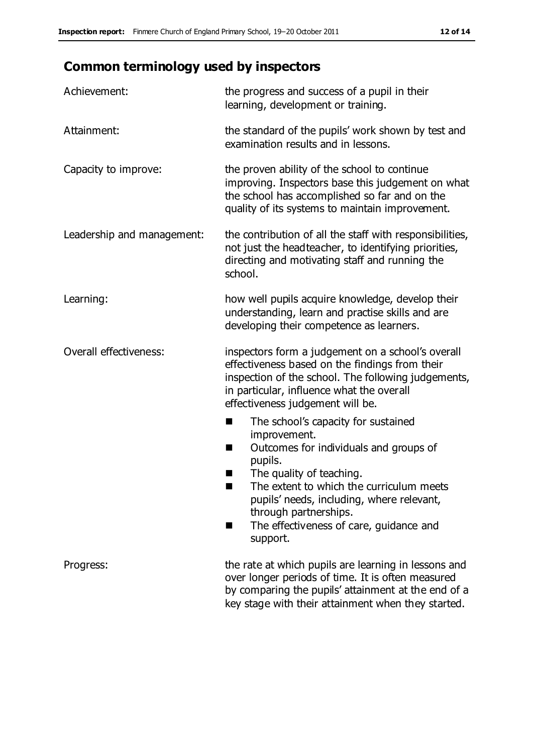## **Common terminology used by inspectors**

| Achievement:                  | the progress and success of a pupil in their<br>learning, development or training.                                                                                                                                                                                                                                           |  |  |
|-------------------------------|------------------------------------------------------------------------------------------------------------------------------------------------------------------------------------------------------------------------------------------------------------------------------------------------------------------------------|--|--|
| Attainment:                   | the standard of the pupils' work shown by test and<br>examination results and in lessons.                                                                                                                                                                                                                                    |  |  |
| Capacity to improve:          | the proven ability of the school to continue<br>improving. Inspectors base this judgement on what<br>the school has accomplished so far and on the<br>quality of its systems to maintain improvement.                                                                                                                        |  |  |
| Leadership and management:    | the contribution of all the staff with responsibilities,<br>not just the headteacher, to identifying priorities,<br>directing and motivating staff and running the<br>school.                                                                                                                                                |  |  |
| Learning:                     | how well pupils acquire knowledge, develop their<br>understanding, learn and practise skills and are<br>developing their competence as learners.                                                                                                                                                                             |  |  |
| <b>Overall effectiveness:</b> | inspectors form a judgement on a school's overall<br>effectiveness based on the findings from their<br>inspection of the school. The following judgements,<br>in particular, influence what the overall<br>effectiveness judgement will be.                                                                                  |  |  |
|                               | The school's capacity for sustained<br>■<br>improvement.<br>Outcomes for individuals and groups of<br>H<br>pupils.<br>The quality of teaching.<br>The extent to which the curriculum meets<br>pupils' needs, including, where relevant,<br>through partnerships.<br>The effectiveness of care, guidance and<br>٠<br>support. |  |  |
| Progress:                     | the rate at which pupils are learning in lessons and<br>over longer periods of time. It is often measured<br>by comparing the pupils' attainment at the end of a<br>key stage with their attainment when they started.                                                                                                       |  |  |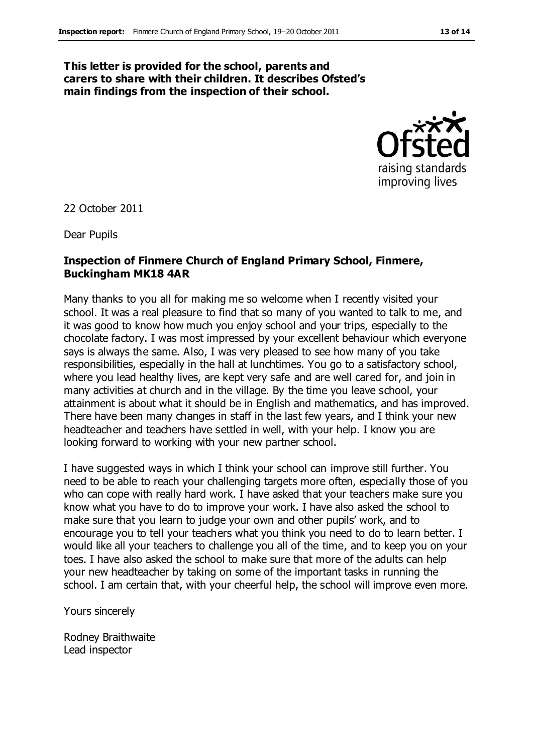#### **This letter is provided for the school, parents and carers to share with their children. It describes Ofsted's main findings from the inspection of their school.**



22 October 2011

Dear Pupils

#### **Inspection of Finmere Church of England Primary School, Finmere, Buckingham MK18 4AR**

Many thanks to you all for making me so welcome when I recently visited your school. It was a real pleasure to find that so many of you wanted to talk to me, and it was good to know how much you enjoy school and your trips, especially to the chocolate factory. I was most impressed by your excellent behaviour which everyone says is always the same. Also, I was very pleased to see how many of you take responsibilities, especially in the hall at lunchtimes. You go to a satisfactory school, where you lead healthy lives, are kept very safe and are well cared for, and join in many activities at church and in the village. By the time you leave school, your attainment is about what it should be in English and mathematics, and has improved. There have been many changes in staff in the last few years, and I think your new headteacher and teachers have settled in well, with your help. I know you are looking forward to working with your new partner school.

I have suggested ways in which I think your school can improve still further. You need to be able to reach your challenging targets more often, especially those of you who can cope with really hard work. I have asked that your teachers make sure you know what you have to do to improve your work. I have also asked the school to make sure that you learn to judge your own and other pupils' work, and to encourage you to tell your teachers what you think you need to do to learn better. I would like all your teachers to challenge you all of the time, and to keep you on your toes. I have also asked the school to make sure that more of the adults can help your new headteacher by taking on some of the important tasks in running the school. I am certain that, with your cheerful help, the school will improve even more.

Yours sincerely

Rodney Braithwaite Lead inspector